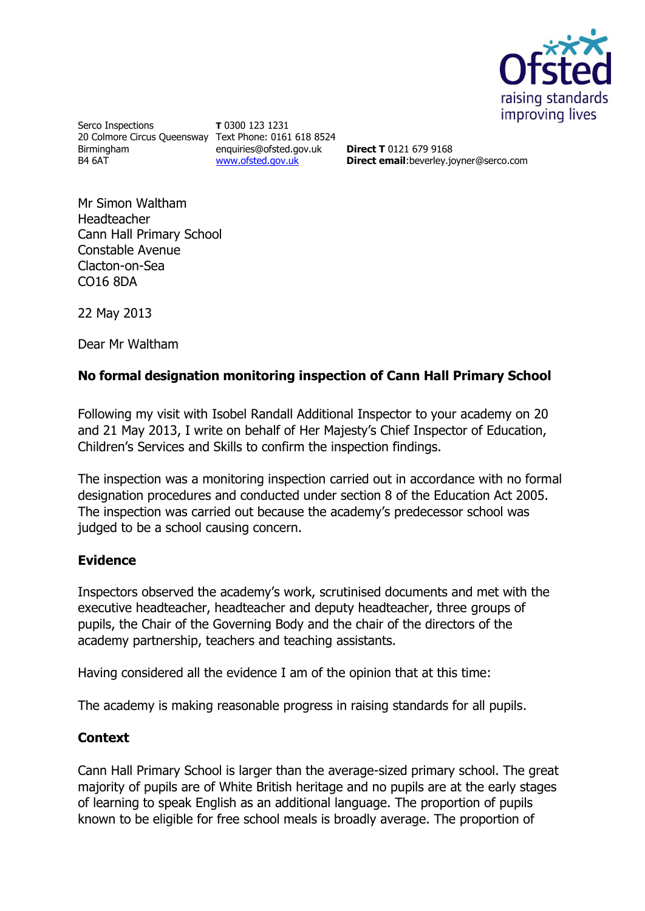

Serco Inspections 20 Colmore Circus Queensway Text Phone: 0161 618 8524 Birmingham B4 6AT

**T** 0300 123 1231 enquiries@ofsted.gov.uk [www.ofsted.gov.uk](http://www.ofsted.gov.uk/)

**Direct T** 0121 679 9168 **Direct email**:beverley.joyner@serco.com

Mr Simon Waltham Headteacher Cann Hall Primary School Constable Avenue Clacton-on-Sea CO16 8DA

22 May 2013

Dear Mr Waltham

### **No formal designation monitoring inspection of Cann Hall Primary School**

Following my visit with Isobel Randall Additional Inspector to your academy on 20 and 21 May 2013, I write on behalf of Her Majesty's Chief Inspector of Education, Children's Services and Skills to confirm the inspection findings.

The inspection was a monitoring inspection carried out in accordance with no formal designation procedures and conducted under section 8 of the Education Act 2005. The inspection was carried out because the academy's predecessor school was judged to be a school causing concern.

#### **Evidence**

Inspectors observed the academy's work, scrutinised documents and met with the executive headteacher, headteacher and deputy headteacher, three groups of pupils, the Chair of the Governing Body and the chair of the directors of the academy partnership, teachers and teaching assistants.

Having considered all the evidence I am of the opinion that at this time:

The academy is making reasonable progress in raising standards for all pupils.

# **Context**

Cann Hall Primary School is larger than the average-sized primary school. The great majority of pupils are of White British heritage and no pupils are at the early stages of learning to speak English as an additional language. The proportion of pupils known to be eligible for free school meals is broadly average. The proportion of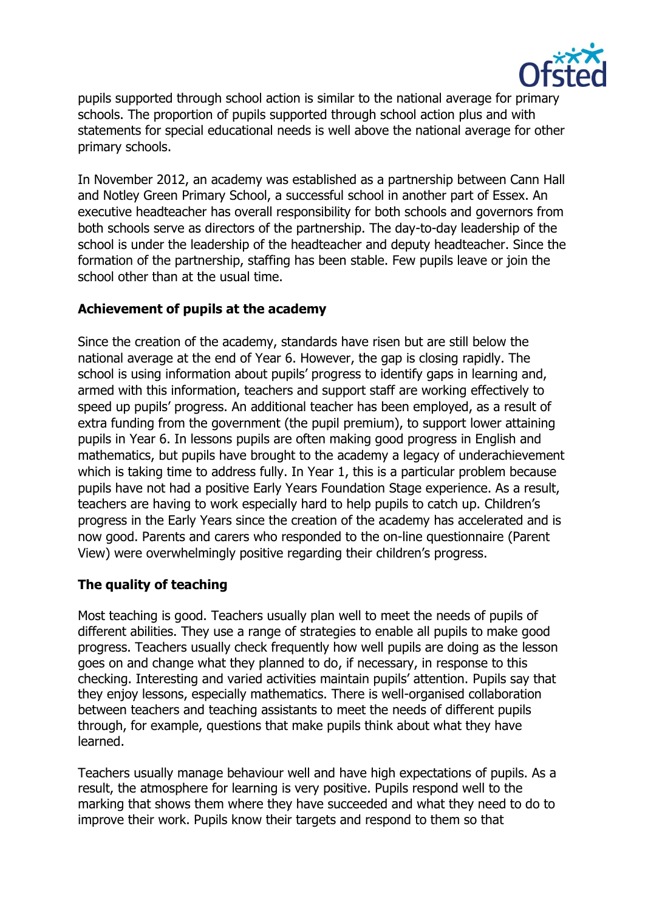

pupils supported through school action is similar to the national average for primary schools. The proportion of pupils supported through school action plus and with statements for special educational needs is well above the national average for other primary schools.

In November 2012, an academy was established as a partnership between Cann Hall and Notley Green Primary School, a successful school in another part of Essex. An executive headteacher has overall responsibility for both schools and governors from both schools serve as directors of the partnership. The day-to-day leadership of the school is under the leadership of the headteacher and deputy headteacher. Since the formation of the partnership, staffing has been stable. Few pupils leave or join the school other than at the usual time.

### **Achievement of pupils at the academy**

Since the creation of the academy, standards have risen but are still below the national average at the end of Year 6. However, the gap is closing rapidly. The school is using information about pupils' progress to identify gaps in learning and, armed with this information, teachers and support staff are working effectively to speed up pupils' progress. An additional teacher has been employed, as a result of extra funding from the government (the pupil premium), to support lower attaining pupils in Year 6. In lessons pupils are often making good progress in English and mathematics, but pupils have brought to the academy a legacy of underachievement which is taking time to address fully. In Year 1, this is a particular problem because pupils have not had a positive Early Years Foundation Stage experience. As a result, teachers are having to work especially hard to help pupils to catch up. Children's progress in the Early Years since the creation of the academy has accelerated and is now good. Parents and carers who responded to the on-line questionnaire (Parent View) were overwhelmingly positive regarding their children's progress.

# **The quality of teaching**

Most teaching is good. Teachers usually plan well to meet the needs of pupils of different abilities. They use a range of strategies to enable all pupils to make good progress. Teachers usually check frequently how well pupils are doing as the lesson goes on and change what they planned to do, if necessary, in response to this checking. Interesting and varied activities maintain pupils' attention. Pupils say that they enjoy lessons, especially mathematics. There is well-organised collaboration between teachers and teaching assistants to meet the needs of different pupils through, for example, questions that make pupils think about what they have learned.

Teachers usually manage behaviour well and have high expectations of pupils. As a result, the atmosphere for learning is very positive. Pupils respond well to the marking that shows them where they have succeeded and what they need to do to improve their work. Pupils know their targets and respond to them so that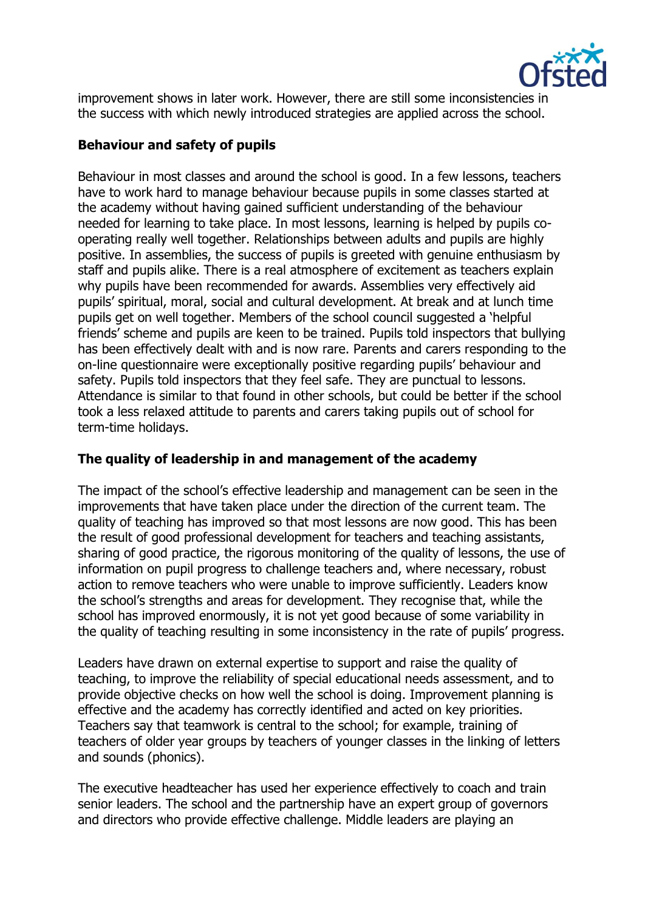

improvement shows in later work. However, there are still some inconsistencies in the success with which newly introduced strategies are applied across the school.

#### **Behaviour and safety of pupils**

Behaviour in most classes and around the school is good. In a few lessons, teachers have to work hard to manage behaviour because pupils in some classes started at the academy without having gained sufficient understanding of the behaviour needed for learning to take place. In most lessons, learning is helped by pupils cooperating really well together. Relationships between adults and pupils are highly positive. In assemblies, the success of pupils is greeted with genuine enthusiasm by staff and pupils alike. There is a real atmosphere of excitement as teachers explain why pupils have been recommended for awards. Assemblies very effectively aid pupils' spiritual, moral, social and cultural development. At break and at lunch time pupils get on well together. Members of the school council suggested a 'helpful friends' scheme and pupils are keen to be trained. Pupils told inspectors that bullying has been effectively dealt with and is now rare. Parents and carers responding to the on-line questionnaire were exceptionally positive regarding pupils' behaviour and safety. Pupils told inspectors that they feel safe. They are punctual to lessons. Attendance is similar to that found in other schools, but could be better if the school took a less relaxed attitude to parents and carers taking pupils out of school for term-time holidays.

#### **The quality of leadership in and management of the academy**

The impact of the school's effective leadership and management can be seen in the improvements that have taken place under the direction of the current team. The quality of teaching has improved so that most lessons are now good. This has been the result of good professional development for teachers and teaching assistants, sharing of good practice, the rigorous monitoring of the quality of lessons, the use of information on pupil progress to challenge teachers and, where necessary, robust action to remove teachers who were unable to improve sufficiently. Leaders know the school's strengths and areas for development. They recognise that, while the school has improved enormously, it is not yet good because of some variability in the quality of teaching resulting in some inconsistency in the rate of pupils' progress.

Leaders have drawn on external expertise to support and raise the quality of teaching, to improve the reliability of special educational needs assessment, and to provide objective checks on how well the school is doing. Improvement planning is effective and the academy has correctly identified and acted on key priorities. Teachers say that teamwork is central to the school; for example, training of teachers of older year groups by teachers of younger classes in the linking of letters and sounds (phonics).

The executive headteacher has used her experience effectively to coach and train senior leaders. The school and the partnership have an expert group of governors and directors who provide effective challenge. Middle leaders are playing an